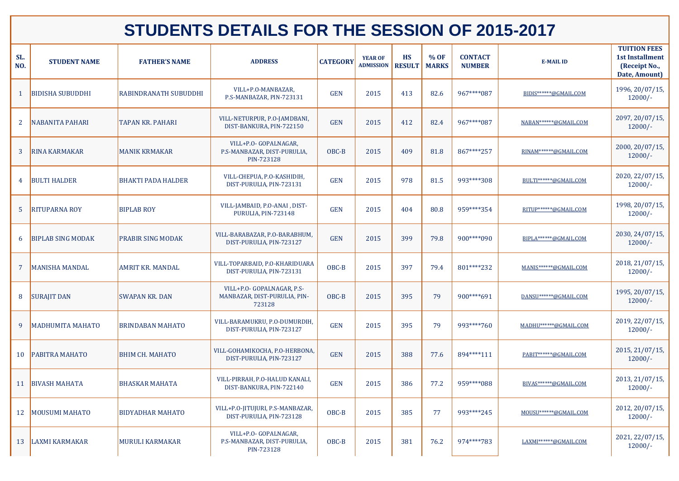| SL.<br>NO.     | <b>STUDENT NAME</b>      | <b>FATHER'S NAME</b>         | <b>ADDRESS</b>                                                       | <b>CATEGORY</b> | <b>YEAR OF</b><br><b>ADMISSION</b> | <b>HS</b><br><b>RESULT</b> | % OF<br><b>MARKS</b> | <b>CONTACT</b><br><b>NUMBER</b> | <b>E-MAIL ID</b>        | <b>TUITION FEES</b><br><b>1st Installment</b><br>(Receipt No.,<br>Date, Amount) |
|----------------|--------------------------|------------------------------|----------------------------------------------------------------------|-----------------|------------------------------------|----------------------------|----------------------|---------------------------------|-------------------------|---------------------------------------------------------------------------------|
|                | <b>BIDISHA SUBUDDHI</b>  | <b>RABINDRANATH SUBUDDHI</b> | VILL+P.O-MANBAZAR,<br>P.S-MANBAZAR, PIN-723131                       | <b>GEN</b>      | 2015                               | 413                        | 82.6                 | 967****087                      | BIDIS******@GMAIL.COM   | 1996, 20/07/15,<br>$12000/-$                                                    |
| 2 <sup>1</sup> | <b>NABANITA PAHARI</b>   | <b>TAPAN KR. PAHARI</b>      | VILL-NETURPUR, P.O-JAMDBANI,<br>DIST-BANKURA, PIN-722150             | <b>GEN</b>      | 2015                               | 412                        | 82.4                 | 967****087                      | NABAN******@GMAIL.COM   | 2097, 20/07/15,<br>$12000/-$                                                    |
| $\mathbf{3}$   | <b>RINA KARMAKAR</b>     | <b>MANIK KRMAKAR</b>         | VILL+P.O- GOPALNAGAR,<br>P.S-MANBAZAR, DIST-PURULIA,<br>PIN-723128   | OBC-B           | 2015                               | 409                        | 81.8                 | 867****257                      | RINAM******@GMAIL.COM   | 2000, 20/07/15,<br>$12000/-$                                                    |
| 4 <sup>1</sup> | <b>BULTI HALDER</b>      | <b>BHAKTI PADA HALDER</b>    | VILL-CHEPUA, P.O-KASHIDIH,<br>DIST-PURULIA, PIN-723131               | <b>GEN</b>      | 2015                               | 978                        | 81.5                 | 993****308                      | BULTI******@GMAIL.COM   | 2020, 22/07/15,<br>$12000/-$                                                    |
| 5 <sup>5</sup> | <b>RITUPARNA ROY</b>     | <b>BIPLAB ROY</b>            | VILL-JAMBAID, P.O-ANAI, DIST-<br>PURULIA, PIN-723148                 | <b>GEN</b>      | 2015                               | 404                        | 80.8                 | 959****354                      | RITUP******@GMAIL.COM   | 1998, 20/07/15,<br>$12000/-$                                                    |
| 6              | <b>BIPLAB SING MODAK</b> | <b>PRABIR SING MODAK</b>     | VILL-BARABAZAR, P.O-BARABHUM,<br>DIST-PURULIA, PIN-723127            | <b>GEN</b>      | 2015                               | 399                        | 79.8                 | 900****090                      | BIPLA******@GMAIL.COM   | 2030, 24/07/15,<br>$12000/-$                                                    |
|                | <b>MANISHA MANDAL</b>    | <b>AMRIT KR. MANDAL</b>      | VILL-TOPARBAID, P.O-KHARIDUARA<br>DIST-PURULIA, PIN-723131           | OBC-B           | 2015                               | 397                        | 79.4                 | 801****232                      | MANIS******@GMAIL.COM   | 2018, 21/07/15,<br>$12000/-$                                                    |
| 8              | <b>SURAJIT DAN</b>       | <b>SWAPAN KR. DAN</b>        | VILL+P.O- GOPALNAGAR, P.S-<br>MANBAZAR, DIST-PURULIA, PIN-<br>723128 | OBC-B           | 2015                               | 395                        | 79                   | 900****691                      | DANSU ****** @GMAIL.COM | 1995, 20/07/15,<br>$12000/-$                                                    |
| 9              | MADHUMITA MAHATO         | <b>BRINDABAN MAHATO</b>      | VILL-BARAMUKRU, P.O-DUMURDIH,<br>DIST-PURULIA, PIN-723127            | <b>GEN</b>      | 2015                               | 395                        | 79                   | 993****760                      | MADHU******@GMAIL.COM   | 2019, 22/07/15,<br>$12000/-$                                                    |
| <b>10</b>      | <b>PABITRA MAHATO</b>    | <b>BHIM CH. MAHATO</b>       | VILL-GOHAMIKOCHA, P.O-HERBONA,<br>DIST-PURULIA, PIN-723127           | <b>GEN</b>      | 2015                               | 388                        | 77.6                 | 894****111                      | PABIT******@GMAIL.COM   | 2015, 21/07/15,<br>$12000/-$                                                    |
| <b>11</b>      | <b>BIVASH MAHATA</b>     | <b>BHASKAR MAHATA</b>        | VILL-PIRRAH, P.O-HALUD KANALI,<br>DIST-BANKURA, PIN-722140           | <b>GEN</b>      | 2015                               | 386                        | 77.2                 | 959****088                      | BIVAS******@GMAIL.COM   | 2013, 21/07/15,<br>$12000/-$                                                    |
| 12             | <b>MOUSUMI MAHATO</b>    | <b>BIDYADHAR MAHATO</b>      | VILL+P.O-JITUJURI, P.S-MANBAZAR,<br>DIST-PURULIA, PIN-723128         | OBC-B           | 2015                               | 385                        | 77                   | 993****245                      | MOUSU******@GMAIL.COM   | 2012, 20/07/15,<br>$12000/-$                                                    |
| 13             | <b>LAXMI KARMAKAR</b>    | MURULI KARMAKAR              | VILL+P.O- GOPALNAGAR,<br>P.S-MANBAZAR, DIST-PURULIA,<br>PIN-723128   | OBC-B           | 2015                               | 381                        | 76.2                 | 974****783                      | LAXMI******@GMAIL.COM   | 2021, 22/07/15,<br>$12000/-$                                                    |

## **STUDENTS DETAILS FOR THE SESSION OF 2015-2017**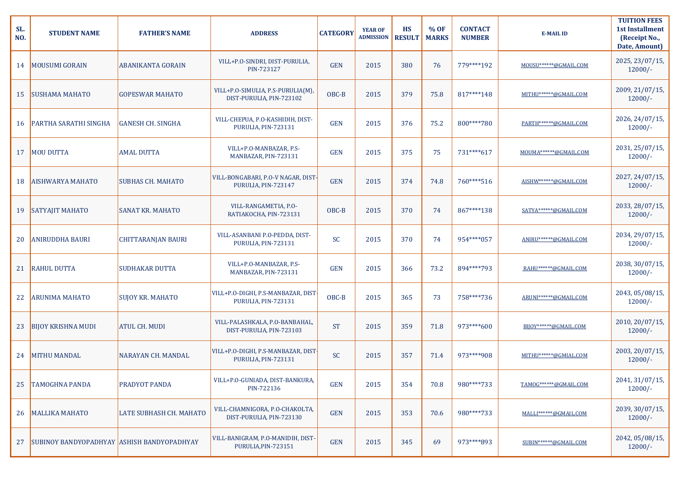| SL.<br>NO. | <b>STUDENT NAME</b>                        | <b>FATHER'S NAME</b>           | <b>ADDRESS</b>                                                | <b>CATEGORY</b> | <b>YEAR OF</b><br><b>ADMISSION</b> | <b>HS</b><br><b>RESULT</b> | % OF<br><b>MARKS</b> | <b>CONTACT</b><br><b>NUMBER</b> | <b>E-MAIL ID</b>        | <b>TUITION FEES</b><br><b>1st Installment</b><br>(Receipt No.,<br>Date, Amount) |
|------------|--------------------------------------------|--------------------------------|---------------------------------------------------------------|-----------------|------------------------------------|----------------------------|----------------------|---------------------------------|-------------------------|---------------------------------------------------------------------------------|
| 14         | <b>MOUSUMI GORAIN</b>                      | <b>ABANIKANTA GORAIN</b>       | VILL+P.O-SINDRI, DIST-PURULIA,<br>PIN-723127                  | <b>GEN</b>      | 2015                               | 380                        | 76                   | 779****192                      | MOUSU******@GMAIL.COM   | 2025, 23/07/15,<br>$12000/-$                                                    |
| 15         | <b>SUSHAMA MAHATO</b>                      | <b>GOPESWAR MAHATO</b>         | VILL+P.O-SIMULIA, P.S-PURULIA(M),<br>DIST-PURULIA, PIN-723102 | OBC-B           | 2015                               | 379                        | 75.8                 | 817****148                      | MITHU******@GMAIL.COM   | 2009, 21/07/15,<br>$12000/-$                                                    |
| 16         | <b>PARTHA SARATHI SINGHA</b>               | <b>GANESH CH. SINGHA</b>       | VILL-CHEPUA, P.O-KASHIDIH, DIST-<br>PURULIA, PIN-723131       | <b>GEN</b>      | 2015                               | 376                        | 75.2                 | 800****780                      | PARTH ****** @GMAIL.COM | 2026, 24/07/15,<br>$12000/-$                                                    |
| 17         | <b>MOU DUTTA</b>                           | <b>AMAL DUTTA</b>              | VILL+P.O-MANBAZAR, P.S-<br>MANBAZAR, PIN-723131               | <b>GEN</b>      | 2015                               | 375                        | 75                   | 731****617                      | MOUMA******@GMAIL.COM   | 2031, 25/07/15,<br>$12000/-$                                                    |
| 18         | <b>AISHWARYA MAHATO</b>                    | <b>SUBHAS CH. MAHATO</b>       | VILL-BONGABARI, P.O-V NAGAR, DIST-<br>PURULIA, PIN-723147     | <b>GEN</b>      | 2015                               | 374                        | 74.8                 | 760****516                      | AISHW******@GMAIL.COM   | 2027, 24/07/15,<br>$12000/-$                                                    |
| 19         | SATYAJIT MAHATO                            | <b>SANAT KR. MAHATO</b>        | VILL-RANGAMETIA, P.O-<br>RATIAKOCHA, PIN-723131               | OBC-B           | 2015                               | 370                        | 74                   | 867****138                      | SATYA******@GMAIL.COM   | 2033, 28/07/15,<br>$12000/-$                                                    |
| 20         | <b>ANIRUDDHA BAURI</b>                     | <b>CHITTARANJAN BAURI</b>      | VILL-ASANBANI P.O-PEDDA, DIST-<br>PURULIA, PIN-723131         | <b>SC</b>       | 2015                               | 370                        | 74                   | 954****057                      | ANIRU ****** @GMAIL.COM | 2034, 29/07/15,<br>$12000/-$                                                    |
|            | 21 RAHUL DUTTA                             | <b>SUDHAKAR DUTTA</b>          | VILL+P.O-MANBAZAR, P.S-<br>MANBAZAR, PIN-723131               | <b>GEN</b>      | 2015                               | 366                        | 73.2                 | 894****793                      | RAHU******@GMAIL.COM    | 2038, 30/07/15,<br>$12000/-$                                                    |
| 22         | <b>ARUNIMA MAHATO</b>                      | <b>SUJOY KR. MAHATO</b>        | VILL+P.O-DIGHI, P.S-MANBAZAR, DIST<br>PURULIA, PIN-723131     | OBC-B           | 2015                               | 365                        | 73                   | 758****736                      | ARUNI******@GMAIL.COM   | 2043, 05/08/15,<br>$12000/-$                                                    |
| 23         | <b>BIJOY KRISHNA MUDI</b>                  | <b>ATUL CH. MUDI</b>           | VILL-PALASHKALA, P.O-BANBAHAL,<br>DIST-PURULIA, PIN-723103    | <b>ST</b>       | 2015                               | 359                        | 71.8                 | 973****600                      | BIJOY******@GMAIL.COM   | 2010, 20/07/15,<br>$12000/-$                                                    |
| 24         | <b>MITHU MANDAL</b>                        | NARAYAN CH. MANDAL             | VILL+P.O-DIGHI, P.S-MANBAZAR, DIST<br>PURULIA, PIN-723131     | <b>SC</b>       | 2015                               | 357                        | 71.4                 | 973****908                      | MITHU******@GMIAL.COM   | 2003, 20/07/15,<br>$12000/-$                                                    |
| 25         | <b>TAMOGHNA PANDA</b>                      | <b>PRADYOT PANDA</b>           | VILL+P.O-GUNIADA, DIST-BANKURA,<br>PIN-722136                 | <b>GEN</b>      | 2015                               | 354                        | 70.8                 | 980****733                      | TAMOG ****** @GMAIL.COM | 2041, 31/07/15,<br>$12000/-$                                                    |
|            | 26   MALLIKA MAHATO                        | <b>LATE SUBHASH CH. MAHATO</b> | VILL-CHAMNIGORA, P.O-CHAKOLTA,<br>DIST-PURULIA, PIN-723130    | <b>GEN</b>      | 2015                               | 353                        | 70.6                 | 980****733                      | MALLI******@GMAIL.COM   | 2039, 30/07/15,<br>$12000/-$                                                    |
| 27         | SUBINOY BANDYOPADHYAY ASHISH BANDYOPADHYAY |                                | VILL-BANIGRAM, P.O-MANIDIH, DIST-<br>PURULIA, PIN-723151      | <b>GEN</b>      | 2015                               | 345                        | 69                   | 973****893                      | SUBIN******@GMAIL.COM   | 2042, 05/08/15,<br>$12000/-$                                                    |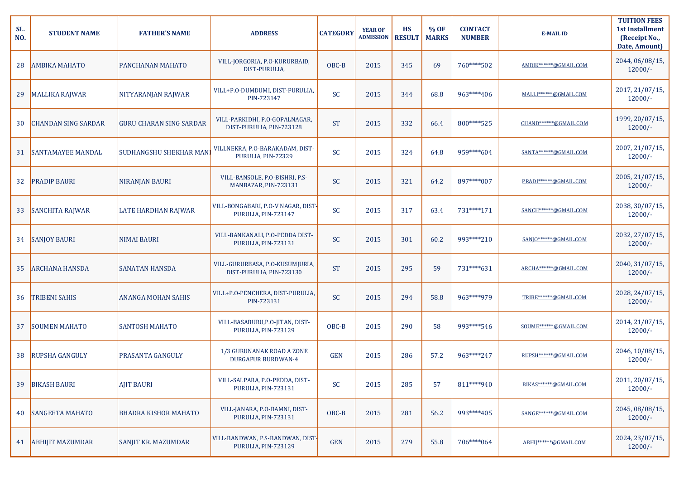| SL.<br>NO. | <b>STUDENT NAME</b>        | <b>FATHER'S NAME</b>           | <b>ADDRESS</b>                                              | <b>CATEGORY</b> | <b>YEAR OF</b><br><b>ADMISSION</b> | <b>HS</b><br><b>RESULT</b> | % OF<br><b>MARKS</b> | <b>CONTACT</b><br><b>NUMBER</b> | <b>E-MAIL ID</b>        | <b>TUITION FEES</b><br><b>1st Installment</b><br>(Receipt No.,<br>Date, Amount) |
|------------|----------------------------|--------------------------------|-------------------------------------------------------------|-----------------|------------------------------------|----------------------------|----------------------|---------------------------------|-------------------------|---------------------------------------------------------------------------------|
| 28         | <b>AMBIKA MAHATO</b>       | <b>PANCHANAN MAHATO</b>        | VILL-JORGORIA, P.O-KURURBAID,<br>DIST-PURULIA,              | OBC-B           | 2015                               | 345                        | 69                   | 760****502                      | AMBIK******@GMAIL.COM   | 2044, 06/08/15,<br>$12000/-$                                                    |
| 29         | MALLIKA RAJWAR             | NITYARANJAN RAJWAR             | VILL+P.O-DUMDUMI, DIST-PURULIA,<br>PIN-723147               | <b>SC</b>       | 2015                               | 344                        | 68.8                 | 963****406                      | MALLI******@GMAIL.COM   | 2017, 21/07/15,<br>$12000/-$                                                    |
| 30         | <b>CHANDAN SING SARDAR</b> | <b>GURU CHARAN SING SARDAR</b> | VILL-PARKIDHI, P.O-GOPALNAGAR,<br>DIST-PURULIA, PIN-723128  | <b>ST</b>       | 2015                               | 332                        | 66.4                 | 800****525                      | CHAND******@GMAIL.COM   | 1999, 20/07/15,<br>$12000/-$                                                    |
| 31         | <b>SANTAMAYEE MANDAL</b>   | <b>SUDHANGSHU SHEKHAR MANI</b> | VILLNEKRA, P.O-BARAKADAM, DIST-<br>PURULIA, PIN-72329       | <b>SC</b>       | 2015                               | 324                        | 64.8                 | 959****604                      | SANTA******@GMAIL.COM   | 2007, 21/07/15,<br>$12000/-$                                                    |
| 32         | <b>PRADIP BAURI</b>        | <b>NIRANJAN BAURI</b>          | VILL-BANSOLE, P.O-BISHRI, P.S-<br>MANBAZAR, PIN-723131      | <b>SC</b>       | 2015                               | 321                        | 64.2                 | 897****007                      | PRADI ****** @GMAIL.COM | 2005, 21/07/15,<br>$12000/-$                                                    |
| 33         | SANCHITA RAJWAR            | <b>LATE HARDHAN RAJWAR</b>     | VILL-BONGABARI, P.O-V NAGAR, DIST-<br>PURULIA, PIN-723147   | <b>SC</b>       | 2015                               | 317                        | 63.4                 | 731****171                      | SANCH ****** @GMAIL.COM | 2038, 30/07/15,<br>$12000/-$                                                    |
|            | 34 SANJOY BAURI            | <b>NIMAI BAURI</b>             | VILL-BANKANALI, P.O-PEDDA DIST-<br>PURULIA, PIN-723131      | <b>SC</b>       | 2015                               | 301                        | 60.2                 | 993****210                      | SANJO******@GMAIL.COM   | 2032, 27/07/15,<br>$12000/-$                                                    |
|            | 35 ARCHANA HANSDA          | <b>SANATAN HANSDA</b>          | VILL-GURURBASA, P.O-KUSUMJURIA,<br>DIST-PURULIA, PIN-723130 | <b>ST</b>       | 2015                               | 295                        | 59                   | 731****631                      | ARCHA******@GMAIL.COM   | 2040, 31/07/15,<br>$12000/-$                                                    |
| 36         | <b>TRIBENI SAHIS</b>       | <b>ANANGA MOHAN SAHIS</b>      | VILL+P.O-PENCHERA, DIST-PURULIA,<br>PIN-723131              | <b>SC</b>       | 2015                               | 294                        | 58.8                 | 963****979                      | TRIBE******@GMAIL.COM   | 2028, 24/07/15,<br>$12000/-$                                                    |
| 37         | <b>SOUMEN MAHATO</b>       | <b>SANTOSH MAHATO</b>          | VILL-BASABURU, P.O-JITAN, DIST-<br>PURULIA, PIN-723129      | OBC-B           | 2015                               | 290                        | 58                   | 993****546                      | SOUME******@GMAIL.COM   | 2014, 21/07/15,<br>$12000/-$                                                    |
| 38         | <b>RUPSHA GANGULY</b>      | <b>PRASANTA GANGULY</b>        | 1/3 GURUNANAK ROAD A ZONE<br><b>DURGAPUR BURDWAN-4</b>      | <b>GEN</b>      | 2015                               | 286                        | 57.2                 | 963****247                      | RUPSH ****** @GMAIL.COM | 2046, 10/08/15,<br>$12000/-$                                                    |
| 39         | <b>BIKASH BAURI</b>        | <b>AJIT BAURI</b>              | VILL-SALPARA, P.O-PEDDA, DIST-<br>PURULIA, PIN-723131       | <b>SC</b>       | 2015                               | 285                        | 57                   | 811****940                      | BIKAS******@GMAIL.COM   | 2011, 20/07/15,<br>$12000/-$                                                    |
| 40         | <b>SANGEETA MAHATO</b>     | <b>BHADRA KISHOR MAHATO</b>    | VILL-JANARA, P.O-BAMNI, DIST-<br>PURULIA, PIN-723131        | OBC-B           | 2015                               | 281                        | 56.2                 | 993****405                      | SANGE******@GMAIL.COM   | 2045, 08/08/15,<br>$12000/-$                                                    |
|            | 41 ABHIJIT MAZUMDAR        | <b>SANJIT KR. MAZUMDAR</b>     | VILL-BANDWAN, P.S-BANDWAN, DIST-<br>PURULIA, PIN-723129     | <b>GEN</b>      | 2015                               | 279                        | 55.8                 | 706****064                      | ABHIJ******@GMAIL.COM   | 2024, 23/07/15,<br>$12000/-$                                                    |